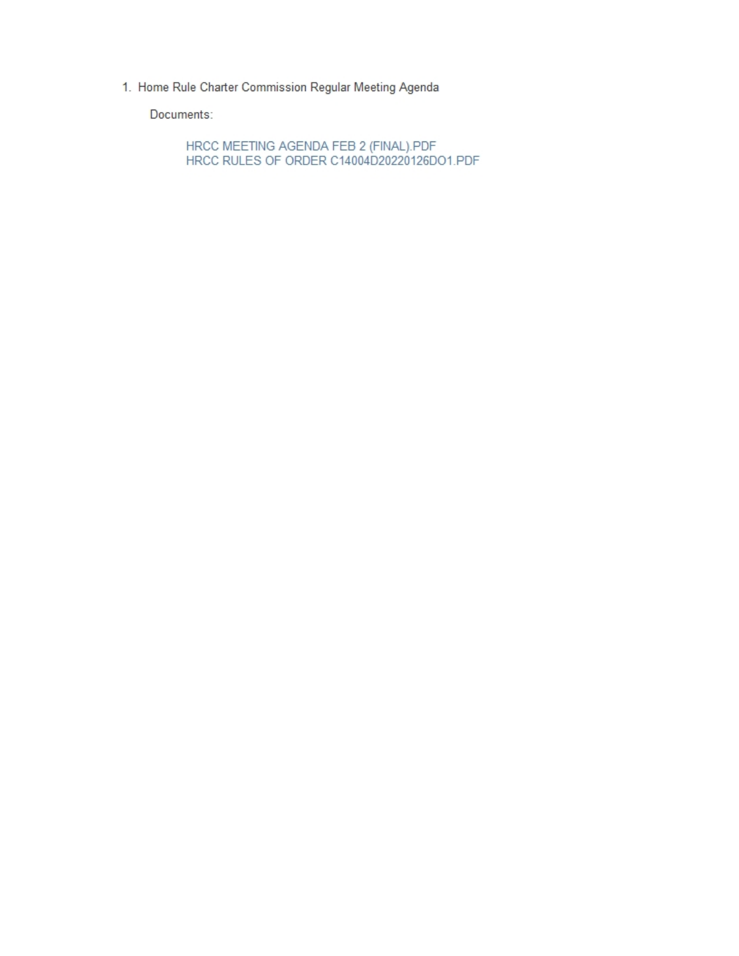1. Home Rule Charter Commission Regular Meeting Agenda

Documents:

HRCC MEETING AGENDA FEB 2 (FINAL).PDF<br>HRCC RULES OF ORDER C14004D20220126DO1.PDF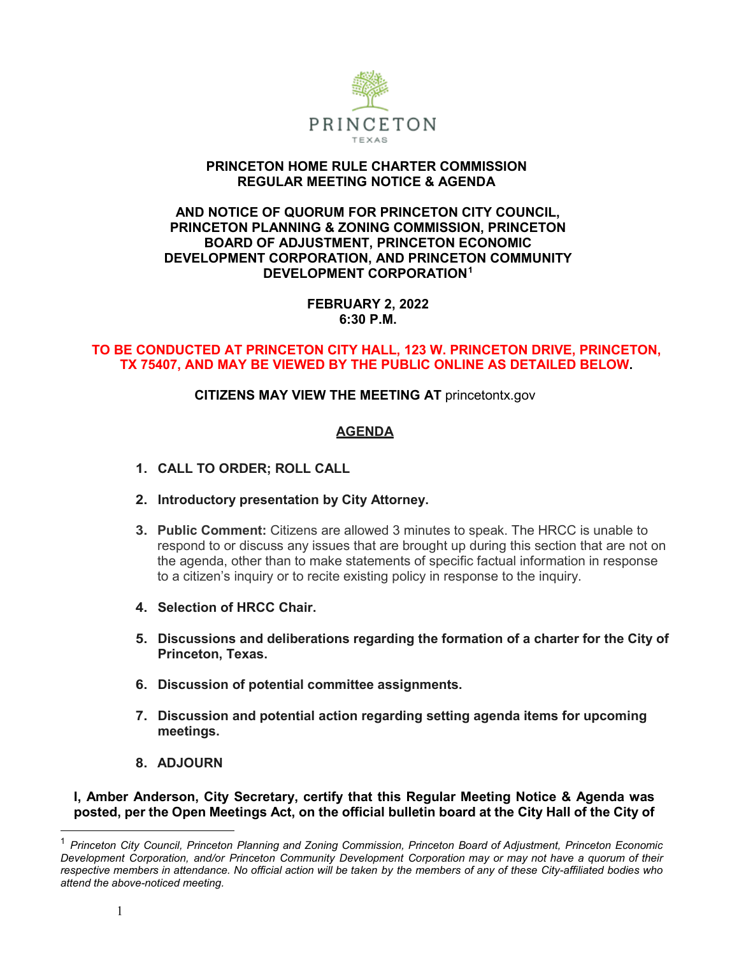

#### **PRINCETON HOME RULE CHARTER COMMISSION REGULAR MEETING NOTICE & AGENDA**

#### **AND NOTICE OF QUORUM FOR PRINCETON CITY COUNCIL, PRINCETON PLANNING & ZONING COMMISSION, PRINCETON BOARD OF ADJUSTMENT, PRINCETON ECONOMIC DEVELOPMENT CORPORATION, AND PRINCETON COMMUNITY DEVELOPMENT CORPORATION[1](#page--1-0)**

### **FEBRUARY 2, 2022 6:30 P.M.**

#### **TO BE CONDUCTED AT PRINCETON CITY HALL, 123 W. PRINCETON DRIVE, PRINCETON, TX 75407, AND MAY BE VIEWED BY THE PUBLIC ONLINE AS DETAILED BELOW.**

## **CITIZENS MAY VIEW THE MEETING AT** princetontx.gov

## **AGENDA**

- **1. CALL TO ORDER; ROLL CALL**
- **2. Introductory presentation by City Attorney.**
- **3. Public Comment:** Citizens are allowed 3 minutes to speak. The HRCC is unable to respond to or discuss any issues that are brought up during this section that are not on the agenda, other than to make statements of specific factual information in response to a citizen's inquiry or to recite existing policy in response to the inquiry.
- **4. Selection of HRCC Chair.**
- **5. Discussions and deliberations regarding the formation of a charter for the City of Princeton, Texas.**
- **6. Discussion of potential committee assignments.**
- **7. Discussion and potential action regarding setting agenda items for upcoming meetings.**
- **8. ADJOURN**

**I, Amber Anderson, City Secretary, certify that this Regular Meeting Notice & Agenda was posted, per the Open Meetings Act, on the official bulletin board at the City Hall of the City of** 

<sup>1</sup> *Princeton City Council, Princeton Planning and Zoning Commission, Princeton Board of Adjustment, Princeton Economic Development Corporation, and/or Princeton Community Development Corporation may or may not have a quorum of their* respective members in attendance. No official action will be taken by the members of any of these City-affiliated bodies who *attend the above-noticed meeting.*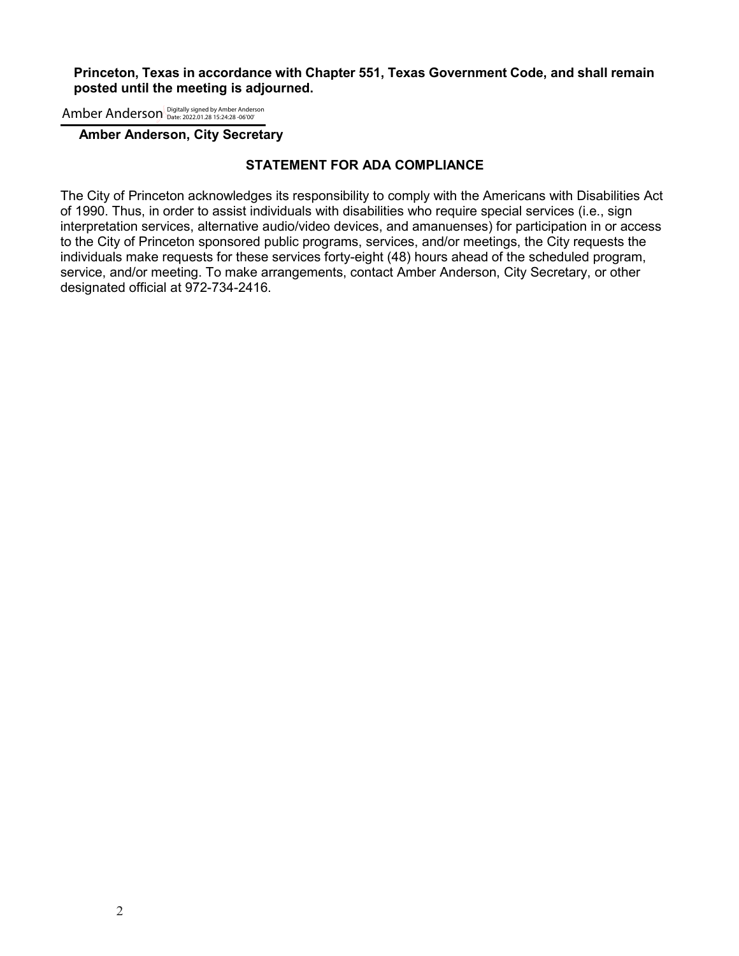#### **Princeton, Texas in accordance with Chapter 551, Texas Government Code, and shall remain posted until the meeting is adjourned.**

Amber Anderson Digitally signed by Amber Anderson

 **Amber Anderson, City Secretary**

#### **STATEMENT FOR ADA COMPLIANCE**

The City of Princeton acknowledges its responsibility to comply with the Americans with Disabilities Act of 1990. Thus, in order to assist individuals with disabilities who require special services (i.e., sign interpretation services, alternative audio/video devices, and amanuenses) for participation in or access to the City of Princeton sponsored public programs, services, and/or meetings, the City requests the individuals make requests for these services forty-eight (48) hours ahead of the scheduled program, service, and/or meeting. To make arrangements, contact Amber Anderson, City Secretary, or other designated official at 972-734-2416.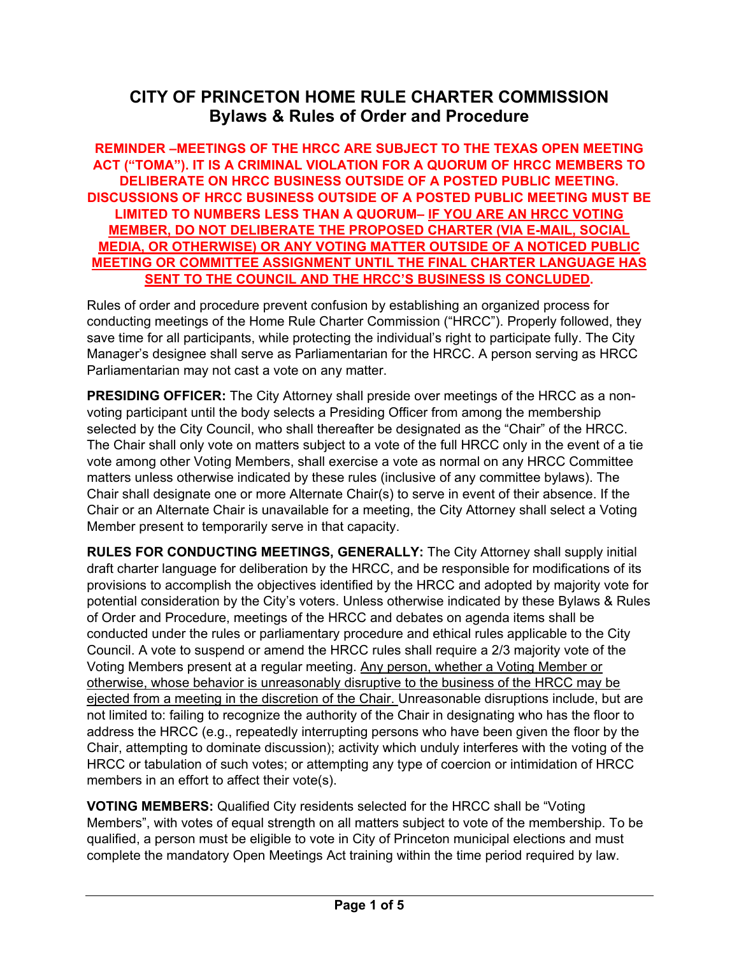# **CITY OF PRINCETON HOME RULE CHARTER COMMISSION Bylaws & Rules of Order and Procedure**

**REMINDER –MEETINGS OF THE HRCC ARE SUBJECT TO THE TEXAS OPEN MEETING ACT ("TOMA"). IT IS A CRIMINAL VIOLATION FOR A QUORUM OF HRCC MEMBERS TO DELIBERATE ON HRCC BUSINESS OUTSIDE OF A POSTED PUBLIC MEETING. DISCUSSIONS OF HRCC BUSINESS OUTSIDE OF A POSTED PUBLIC MEETING MUST BE LIMITED TO NUMBERS LESS THAN A QUORUM– IF YOU ARE AN HRCC VOTING MEMBER, DO NOT DELIBERATE THE PROPOSED CHARTER (VIA E-MAIL, SOCIAL MEDIA, OR OTHERWISE) OR ANY VOTING MATTER OUTSIDE OF A NOTICED PUBLIC MEETING OR COMMITTEE ASSIGNMENT UNTIL THE FINAL CHARTER LANGUAGE HAS SENT TO THE COUNCIL AND THE HRCC'S BUSINESS IS CONCLUDED.**

Rules of order and procedure prevent confusion by establishing an organized process for conducting meetings of the Home Rule Charter Commission ("HRCC"). Properly followed, they save time for all participants, while protecting the individual's right to participate fully. The City Manager's designee shall serve as Parliamentarian for the HRCC. A person serving as HRCC Parliamentarian may not cast a vote on any matter.

**PRESIDING OFFICER:** The City Attorney shall preside over meetings of the HRCC as a nonvoting participant until the body selects a Presiding Officer from among the membership selected by the City Council, who shall thereafter be designated as the "Chair" of the HRCC. The Chair shall only vote on matters subject to a vote of the full HRCC only in the event of a tie vote among other Voting Members, shall exercise a vote as normal on any HRCC Committee matters unless otherwise indicated by these rules (inclusive of any committee bylaws). The Chair shall designate one or more Alternate Chair(s) to serve in event of their absence. If the Chair or an Alternate Chair is unavailable for a meeting, the City Attorney shall select a Voting Member present to temporarily serve in that capacity.

**RULES FOR CONDUCTING MEETINGS, GENERALLY:** The City Attorney shall supply initial draft charter language for deliberation by the HRCC, and be responsible for modifications of its provisions to accomplish the objectives identified by the HRCC and adopted by majority vote for potential consideration by the City's voters. Unless otherwise indicated by these Bylaws & Rules of Order and Procedure, meetings of the HRCC and debates on agenda items shall be conducted under the rules or parliamentary procedure and ethical rules applicable to the City Council. A vote to suspend or amend the HRCC rules shall require a 2/3 majority vote of the Voting Members present at a regular meeting. Any person, whether a Voting Member or otherwise, whose behavior is unreasonably disruptive to the business of the HRCC may be ejected from a meeting in the discretion of the Chair. Unreasonable disruptions include, but are not limited to: failing to recognize the authority of the Chair in designating who has the floor to address the HRCC (e.g., repeatedly interrupting persons who have been given the floor by the Chair, attempting to dominate discussion); activity which unduly interferes with the voting of the HRCC or tabulation of such votes; or attempting any type of coercion or intimidation of HRCC members in an effort to affect their vote(s).

**VOTING MEMBERS:** Qualified City residents selected for the HRCC shall be "Voting Members", with votes of equal strength on all matters subject to vote of the membership. To be qualified, a person must be eligible to vote in City of Princeton municipal elections and must complete the mandatory Open Meetings Act training within the time period required by law.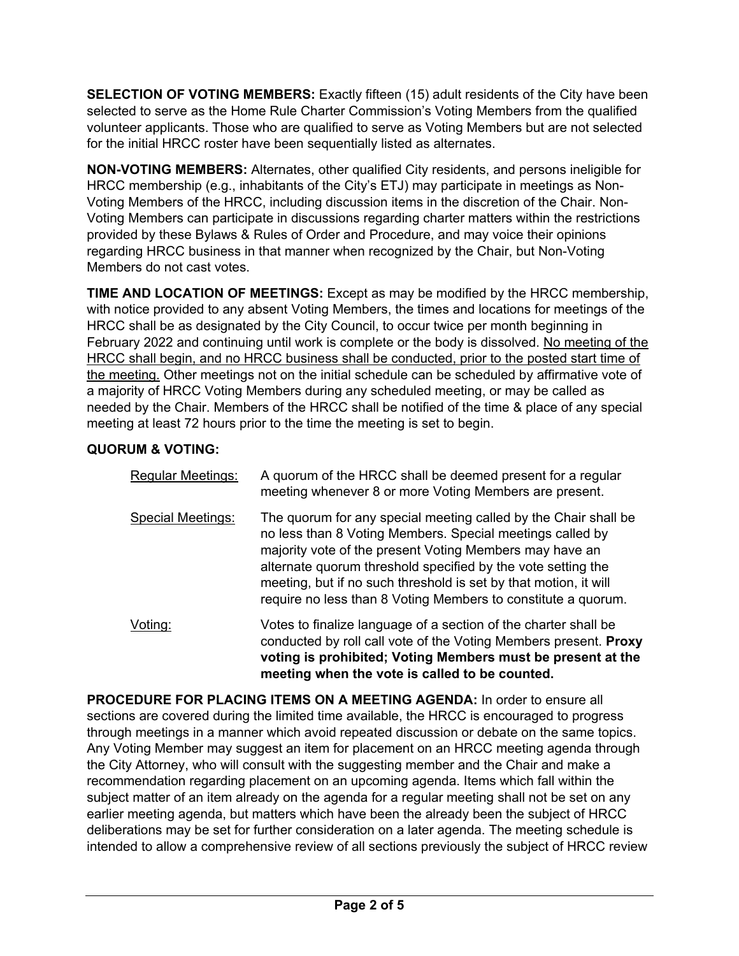**SELECTION OF VOTING MEMBERS:** Exactly fifteen (15) adult residents of the City have been selected to serve as the Home Rule Charter Commission's Voting Members from the qualified volunteer applicants. Those who are qualified to serve as Voting Members but are not selected for the initial HRCC roster have been sequentially listed as alternates.

**NON-VOTING MEMBERS:** Alternates, other qualified City residents, and persons ineligible for HRCC membership (e.g., inhabitants of the City's ETJ) may participate in meetings as Non-Voting Members of the HRCC, including discussion items in the discretion of the Chair. Non-Voting Members can participate in discussions regarding charter matters within the restrictions provided by these Bylaws & Rules of Order and Procedure, and may voice their opinions regarding HRCC business in that manner when recognized by the Chair, but Non-Voting Members do not cast votes.

**TIME AND LOCATION OF MEETINGS:** Except as may be modified by the HRCC membership, with notice provided to any absent Voting Members, the times and locations for meetings of the HRCC shall be as designated by the City Council, to occur twice per month beginning in February 2022 and continuing until work is complete or the body is dissolved. No meeting of the HRCC shall begin, and no HRCC business shall be conducted, prior to the posted start time of the meeting. Other meetings not on the initial schedule can be scheduled by affirmative vote of a majority of HRCC Voting Members during any scheduled meeting, or may be called as needed by the Chair. Members of the HRCC shall be notified of the time & place of any special meeting at least 72 hours prior to the time the meeting is set to begin.

## **QUORUM & VOTING:**

| Regular Meetings: | A quorum of the HRCC shall be deemed present for a regular<br>meeting whenever 8 or more Voting Members are present.                                                                                                                                                                                                                                                                         |
|-------------------|----------------------------------------------------------------------------------------------------------------------------------------------------------------------------------------------------------------------------------------------------------------------------------------------------------------------------------------------------------------------------------------------|
| Special Meetings: | The quorum for any special meeting called by the Chair shall be<br>no less than 8 Voting Members. Special meetings called by<br>majority vote of the present Voting Members may have an<br>alternate quorum threshold specified by the vote setting the<br>meeting, but if no such threshold is set by that motion, it will<br>require no less than 8 Voting Members to constitute a quorum. |
| <u>Voting:</u>    | Votes to finalize language of a section of the charter shall be<br>conducted by roll call vote of the Voting Members present. Proxy<br>voting is prohibited; Voting Members must be present at the<br>meeting when the vote is called to be counted.                                                                                                                                         |

**PROCEDURE FOR PLACING ITEMS ON A MEETING AGENDA:** In order to ensure all sections are covered during the limited time available, the HRCC is encouraged to progress through meetings in a manner which avoid repeated discussion or debate on the same topics. Any Voting Member may suggest an item for placement on an HRCC meeting agenda through the City Attorney, who will consult with the suggesting member and the Chair and make a recommendation regarding placement on an upcoming agenda. Items which fall within the subject matter of an item already on the agenda for a regular meeting shall not be set on any earlier meeting agenda, but matters which have been the already been the subject of HRCC deliberations may be set for further consideration on a later agenda. The meeting schedule is intended to allow a comprehensive review of all sections previously the subject of HRCC review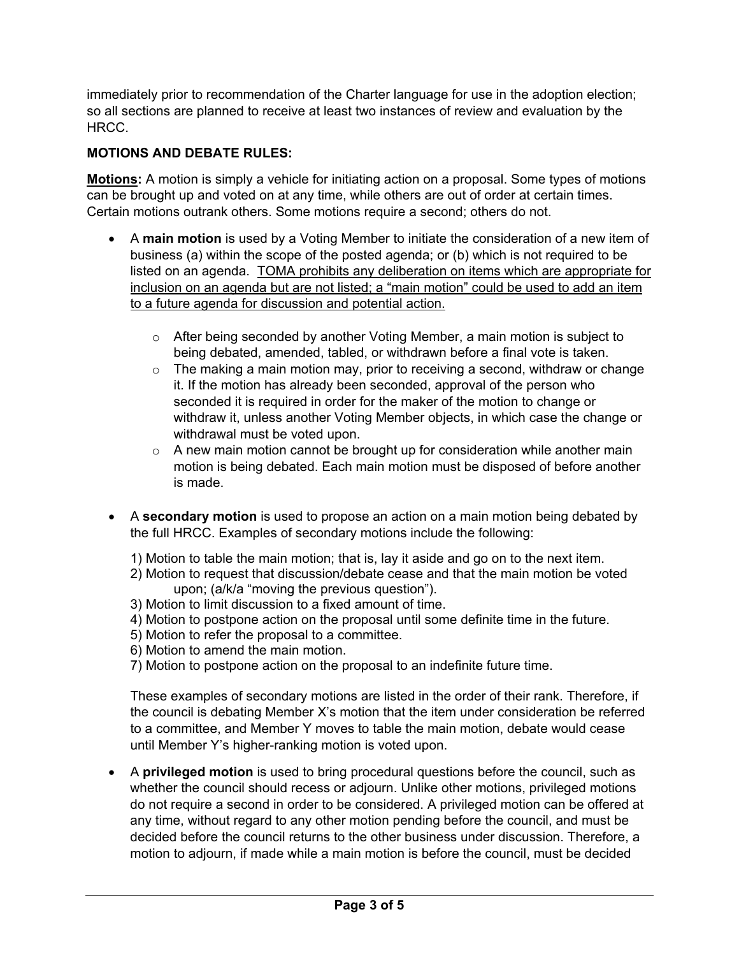immediately prior to recommendation of the Charter language for use in the adoption election; so all sections are planned to receive at least two instances of review and evaluation by the HRCC.

## **MOTIONS AND DEBATE RULES:**

**Motions:** A motion is simply a vehicle for initiating action on a proposal. Some types of motions can be brought up and voted on at any time, while others are out of order at certain times. Certain motions outrank others. Some motions require a second; others do not.

- A **main motion** is used by a Voting Member to initiate the consideration of a new item of business (a) within the scope of the posted agenda; or (b) which is not required to be listed on an agenda. TOMA prohibits any deliberation on items which are appropriate for inclusion on an agenda but are not listed; a "main motion" could be used to add an item to a future agenda for discussion and potential action.
	- $\circ$  After being seconded by another Voting Member, a main motion is subject to being debated, amended, tabled, or withdrawn before a final vote is taken.
	- $\circ$  The making a main motion may, prior to receiving a second, withdraw or change it. If the motion has already been seconded, approval of the person who seconded it is required in order for the maker of the motion to change or withdraw it, unless another Voting Member objects, in which case the change or withdrawal must be voted upon.
	- $\circ$  A new main motion cannot be brought up for consideration while another main motion is being debated. Each main motion must be disposed of before another is made.
- A **secondary motion** is used to propose an action on a main motion being debated by the full HRCC. Examples of secondary motions include the following:
	- 1) Motion to table the main motion; that is, lay it aside and go on to the next item.
	- 2) Motion to request that discussion/debate cease and that the main motion be voted upon; (a/k/a "moving the previous question").
	- 3) Motion to limit discussion to a fixed amount of time.
	- 4) Motion to postpone action on the proposal until some definite time in the future.
	- 5) Motion to refer the proposal to a committee.
	- 6) Motion to amend the main motion.
	- 7) Motion to postpone action on the proposal to an indefinite future time.

These examples of secondary motions are listed in the order of their rank. Therefore, if the council is debating Member X's motion that the item under consideration be referred to a committee, and Member Y moves to table the main motion, debate would cease until Member Y's higher-ranking motion is voted upon.

• A **privileged motion** is used to bring procedural questions before the council, such as whether the council should recess or adjourn. Unlike other motions, privileged motions do not require a second in order to be considered. A privileged motion can be offered at any time, without regard to any other motion pending before the council, and must be decided before the council returns to the other business under discussion. Therefore, a motion to adjourn, if made while a main motion is before the council, must be decided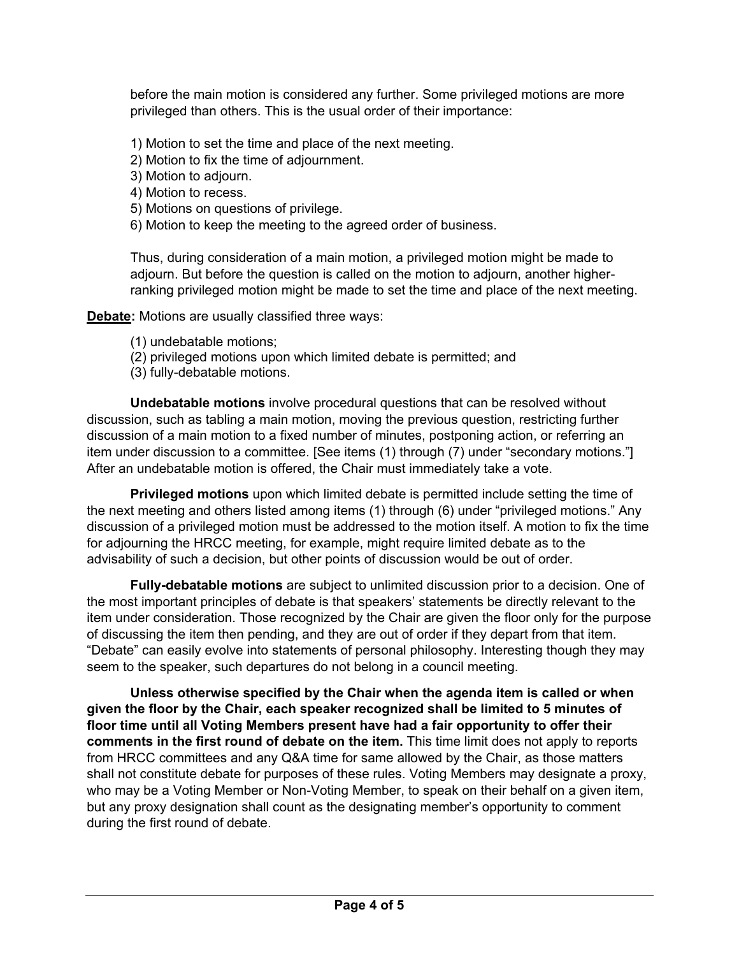before the main motion is considered any further. Some privileged motions are more privileged than others. This is the usual order of their importance:

- 1) Motion to set the time and place of the next meeting.
- 2) Motion to fix the time of adjournment.
- 3) Motion to adjourn.
- 4) Motion to recess.
- 5) Motions on questions of privilege.
- 6) Motion to keep the meeting to the agreed order of business.

Thus, during consideration of a main motion, a privileged motion might be made to adjourn. But before the question is called on the motion to adjourn, another higherranking privileged motion might be made to set the time and place of the next meeting.

**Debate:** Motions are usually classified three ways:

- (1) undebatable motions;
- (2) privileged motions upon which limited debate is permitted; and
- (3) fully-debatable motions.

**Undebatable motions** involve procedural questions that can be resolved without discussion, such as tabling a main motion, moving the previous question, restricting further discussion of a main motion to a fixed number of minutes, postponing action, or referring an item under discussion to a committee. [See items (1) through (7) under "secondary motions."] After an undebatable motion is offered, the Chair must immediately take a vote.

**Privileged motions** upon which limited debate is permitted include setting the time of the next meeting and others listed among items (1) through (6) under "privileged motions." Any discussion of a privileged motion must be addressed to the motion itself. A motion to fix the time for adjourning the HRCC meeting, for example, might require limited debate as to the advisability of such a decision, but other points of discussion would be out of order.

**Fully-debatable motions** are subject to unlimited discussion prior to a decision. One of the most important principles of debate is that speakers' statements be directly relevant to the item under consideration. Those recognized by the Chair are given the floor only for the purpose of discussing the item then pending, and they are out of order if they depart from that item. "Debate" can easily evolve into statements of personal philosophy. Interesting though they may seem to the speaker, such departures do not belong in a council meeting.

**Unless otherwise specified by the Chair when the agenda item is called or when given the floor by the Chair, each speaker recognized shall be limited to 5 minutes of floor time until all Voting Members present have had a fair opportunity to offer their comments in the first round of debate on the item.** This time limit does not apply to reports from HRCC committees and any Q&A time for same allowed by the Chair, as those matters shall not constitute debate for purposes of these rules. Voting Members may designate a proxy, who may be a Voting Member or Non-Voting Member, to speak on their behalf on a given item, but any proxy designation shall count as the designating member's opportunity to comment during the first round of debate.